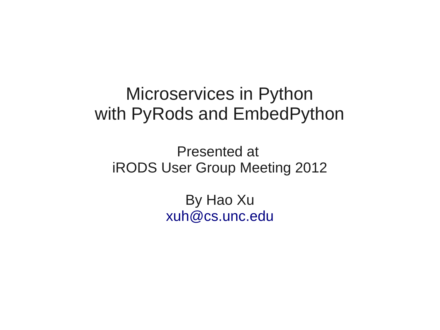### Microservices in Python with PyRods and EmbedPython

Presented at iRODS User Group Meeting 2012

> By Hao Xu [xuh@cs.unc.edu](mailto:xuh@cs.unc.edu)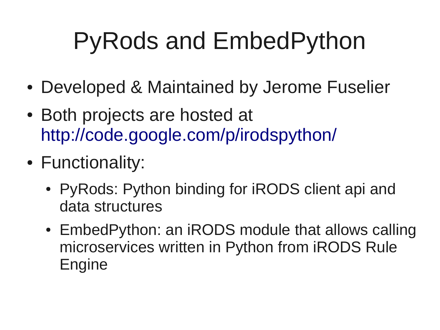# PyRods and EmbedPython

- Developed & Maintained by Jerome Fuselier
- Both projects are hosted at <http://code.google.com/p/irodspython/>
- Functionality:
	- PyRods: Python binding for iRODS client api and data structures
	- EmbedPython: an iRODS module that allows calling microservices written in Python from iRODS Rule Engine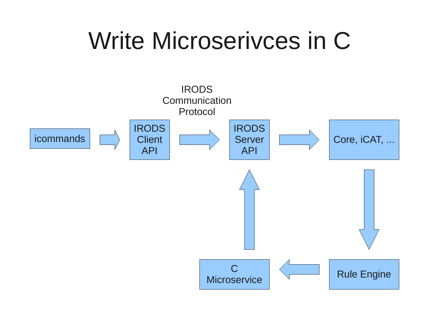### Write Microserivces in C

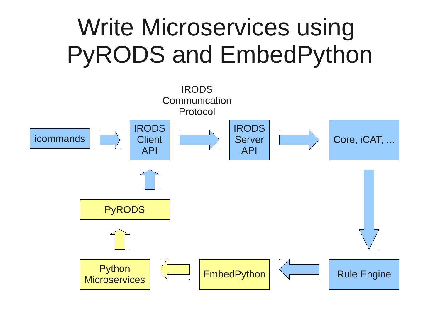## Write Microservices using PyRODS and EmbedPython

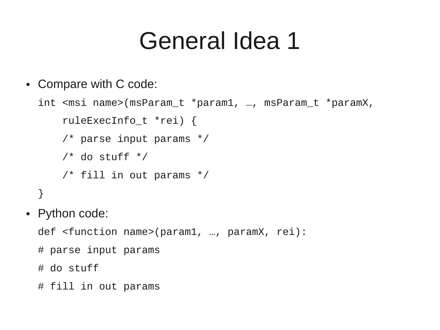### General Idea 1

• Compare with C code:

```
int <msi name>(msParam_t *param1, …, msParam_t *paramX, 
     ruleExecInfo_t *rei) {
     /* parse input params */
     /* do stuff */
     /* fill in out params */
}
```
• Python code:

def <function name>(param1, …, paramX, rei):

- # parse input params
- # do stuff
- # fill in out params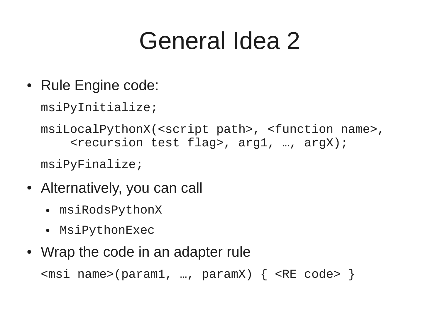### General Idea 2

• Rule Engine code:

msiPyInitialize;

msiLocalPythonX(<script path>, <function name>, <recursion test flag>, arg1, …, argX);

msiPyFinalize;

- Alternatively, you can call
	- $\bullet$  msiRodsPythonX
	- MsiPythonExec
- Wrap the code in an adapter rule  $\leq$ msi name>(param1, …, paramX) {  $\leq$ RE code> }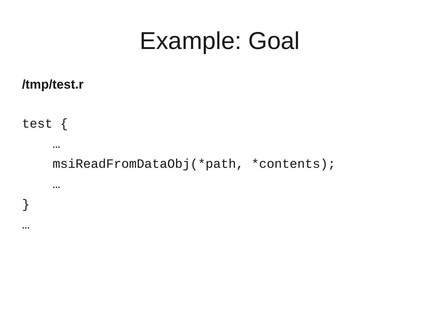### Example: Goal

### **/tmp/test.r**

test {

…

…

}

…

msiReadFromDataObj(\*path, \*contents);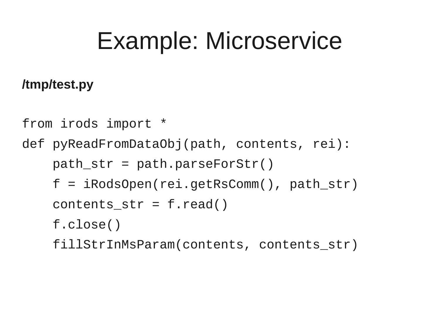### Example: Microservice

### **/tmp/test.py**

from irods import \*

def pyReadFromDataObj(path, contents, rei): path\_str = path.parseForStr() f = iRodsOpen(rei.getRsComm(), path\_str) contents\_str =  $f.read()$  f.close() fillStrInMsParam(contents, contents\_str)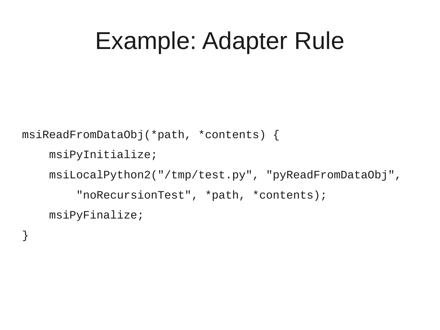### Example: Adapter Rule

```
msiReadFromDataObj(*path, *contents) {
     msiPyInitialize;
     msiLocalPython2("/tmp/test.py", "pyReadFromDataObj",
         "noRecursionTest", *path, *contents);
     msiPyFinalize;
```
}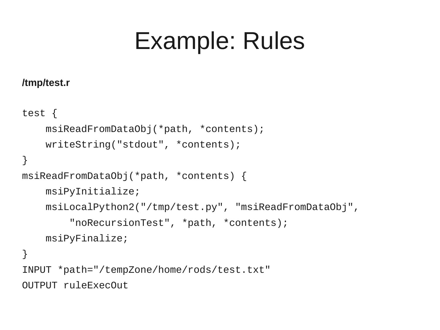### Example: Rules

#### **/tmp/test.r**

```
test {
     msiReadFromDataObj(*path, *contents);
     writeString("stdout", *contents);
}
msiReadFromDataObj(*path, *contents) {
     msiPyInitialize;
     msiLocalPython2("/tmp/test.py", "msiReadFromDataObj",
         "noRecursionTest", *path, *contents);
     msiPyFinalize;
}
INPUT *path="/tempZone/home/rods/test.txt"
```
OUTPUT ruleExecOut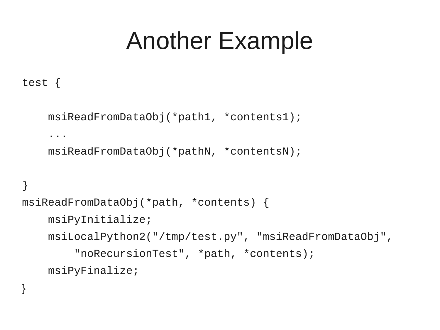### Another Example

### test {

```
 msiReadFromDataObj(*path1, *contents1);
 ...
 msiReadFromDataObj(*pathN, *contentsN);
```
### }

}

```
msiReadFromDataObj(*path, *contents) {
     msiPyInitialize;
     msiLocalPython2("/tmp/test.py", "msiReadFromDataObj",
         "noRecursionTest", *path, *contents);
     msiPyFinalize;
```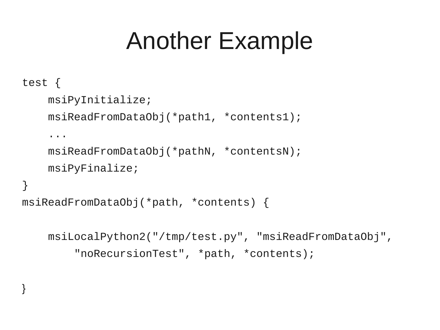### Another Example

```
test {
```

```
 msiPyInitialize;
```
msiReadFromDataObj(\*path1, \*contents1);

...

```
 msiReadFromDataObj(*pathN, *contentsN);
 msiPyFinalize;
```

```
}
```
}

```
msiReadFromDataObj(*path, *contents) {
```

```
 msiLocalPython2("/tmp/test.py", "msiReadFromDataObj",
     "noRecursionTest", *path, *contents);
```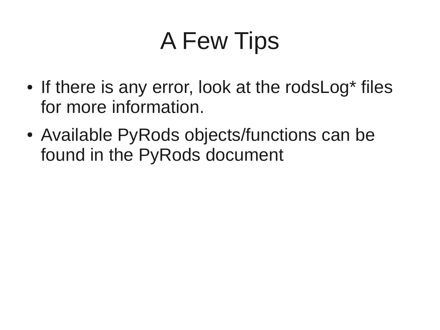## A Few Tips

- If there is any error, look at the rodsLog\* files for more information.
- Available PyRods objects/functions can be found in the PyRods document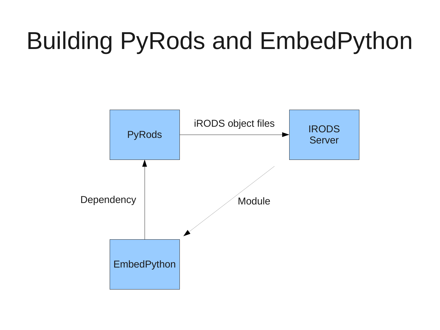## Building PyRods and EmbedPython

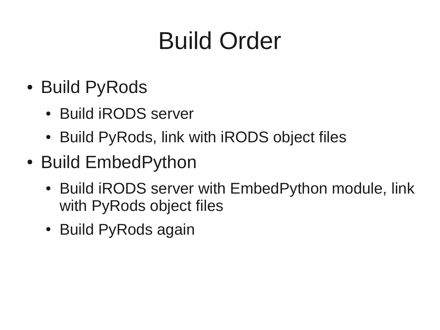## Build Order

- Build PyRods
	- Build iRODS server
	- Build PyRods, link with iRODS object files
- Build EmbedPython
	- Build iRODS server with EmbedPython module, link with PyRods object files
	- Build PyRods again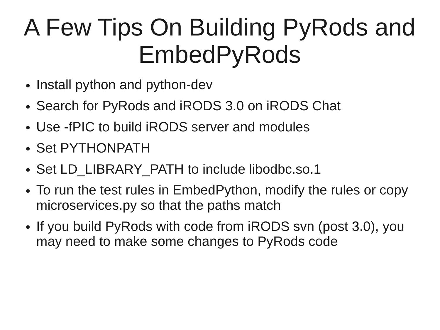## A Few Tips On Building PyRods and EmbedPyRods

- Install python and python-dev
- Search for PyRods and iRODS 3.0 on iRODS Chat
- Use -fPIC to build iRODS server and modules
- Set PYTHONPATH
- Set LD\_LIBRARY\_PATH to include libodbc.so.1
- To run the test rules in EmbedPython, modify the rules or copy microservices.py so that the paths match
- If you build PyRods with code from iRODS svn (post 3.0), you may need to make some changes to PyRods code